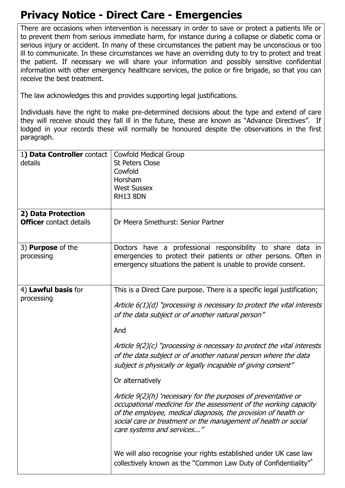## **Privacy Notice - Direct Care - Emergencies**

There are occasions when intervention is necessary in order to save or protect a patients life or to prevent them from serious immediate harm, for instance during a collapse or diabetic coma or serious injury or accident. In many of these circumstances the patient may be unconscious or too ill to communicate. In these circumstances we have an overriding duty to try to protect and treat the patient. If necessary we will share your information and possibly sensitive confidential information with other emergency healthcare services, the police or fire brigade, so that you can receive the best treatment.

The law acknowledges this and provides supporting legal justifications.

Individuals have the right to make pre-determined decisions about the type and extend of care they will receive should they fall ill in the future, these are known as "Advance Directives". If lodged in your records these will normally be honoured despite the observations in the first paragraph.

| 1) Data Controller contact<br>details  | <b>Cowfold Medical Group</b><br><b>St Peters Close</b><br>Cowfold<br>Horsham<br><b>West Sussex</b><br><b>RH13 8DN</b>                                                                                                                                                                                                                                                                                                                                                                                                                                                                                                                                                                                                                                          |
|----------------------------------------|----------------------------------------------------------------------------------------------------------------------------------------------------------------------------------------------------------------------------------------------------------------------------------------------------------------------------------------------------------------------------------------------------------------------------------------------------------------------------------------------------------------------------------------------------------------------------------------------------------------------------------------------------------------------------------------------------------------------------------------------------------------|
| 2) Data Protection                     |                                                                                                                                                                                                                                                                                                                                                                                                                                                                                                                                                                                                                                                                                                                                                                |
| <b>Officer</b> contact details         | Dr Meera Smethurst: Senior Partner                                                                                                                                                                                                                                                                                                                                                                                                                                                                                                                                                                                                                                                                                                                             |
| 3) <b>Purpose</b> of the<br>processing | Doctors have a professional responsibility to share data in<br>emergencies to protect their patients or other persons. Often in<br>emergency situations the patient is unable to provide consent.                                                                                                                                                                                                                                                                                                                                                                                                                                                                                                                                                              |
| 4) Lawful basis for<br>processing      | This is a Direct Care purpose. There is a specific legal justification;<br>Article $6(1)(d)$ "processing is necessary to protect the vital interests"<br>of the data subject or of another natural person"<br>And<br>Article $9(2)(c)$ "processing is necessary to protect the vital interests<br>of the data subject or of another natural person where the data<br>subject is physically or legally incapable of giving consent"<br>Or alternatively<br>Article 9(2)(h) 'necessary for the purposes of preventative or<br>occupational medicine for the assessment of the working capacity<br>of the employee, medical diagnosis, the provision of health or<br>social care or treatment or the management of health or social<br>care systems and services" |
|                                        | We will also recognise your rights established under UK case law<br>collectively known as the "Common Law Duty of Confidentiality"*                                                                                                                                                                                                                                                                                                                                                                                                                                                                                                                                                                                                                            |